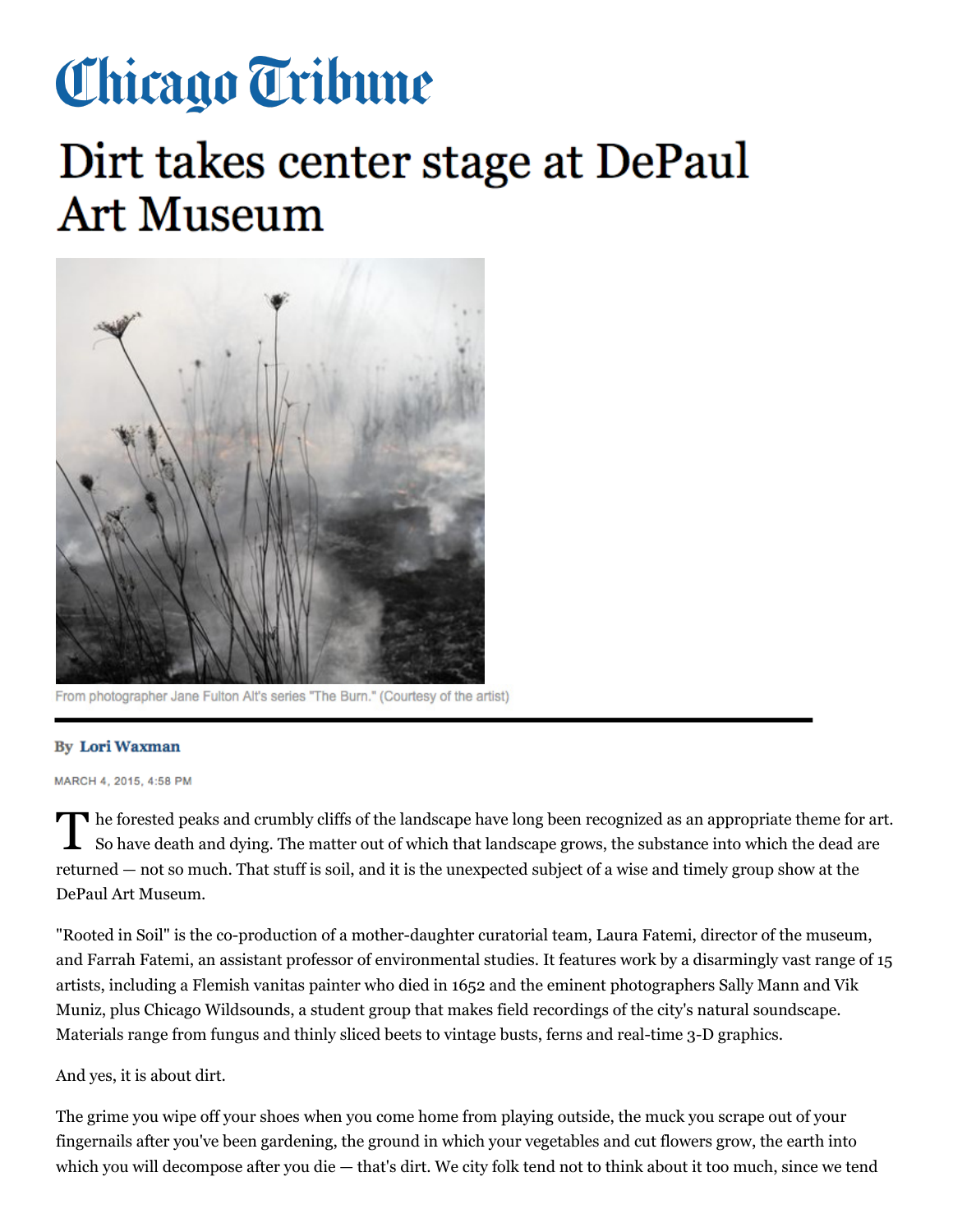## Chicago Tribune

## Dirt takes center stage at DePaul **Art Museum**



From photographer Jane Fulton Alt's series "The Burn." (Courtesy of the artist)

## **By Lori Waxman**

MARCH 4, 2015, 4:58 PM

The forested peaks and crumbly cliffs of the landscape have long been recognized as an appropriate theme for art. So have death and dying. The matter out of which that landscape grows, the substance into which the dead are returned — not so much. That stuff is soil, and it is the unexpected subject of a wise and timely group show at the DePaul Art Museum.

"Rooted in Soil" is the co-production of a mother-daughter curatorial team, Laura Fatemi, director of the museum, and Farrah Fatemi, an assistant professor of environmental studies. It features work by a disarmingly vast range of 15 artists, including a Flemish vanitas painter who died in 1652 and the eminent photographers Sally Mann and Vik Muniz, plus Chicago Wildsounds, a student group that makes field recordings of the city's natural soundscape. Materials range from fungus and thinly sliced beets to vintage busts, ferns and real-time 3-D graphics.

## And yes, it is about dirt.

The grime you wipe off your shoes when you come home from playing outside, the muck you scrape out of your fingernails after you've been gardening, the ground in which your vegetables and cut flowers grow, the earth into which you will decompose after you die — that's dirt. We city folk tend not to think about it too much, since we tend